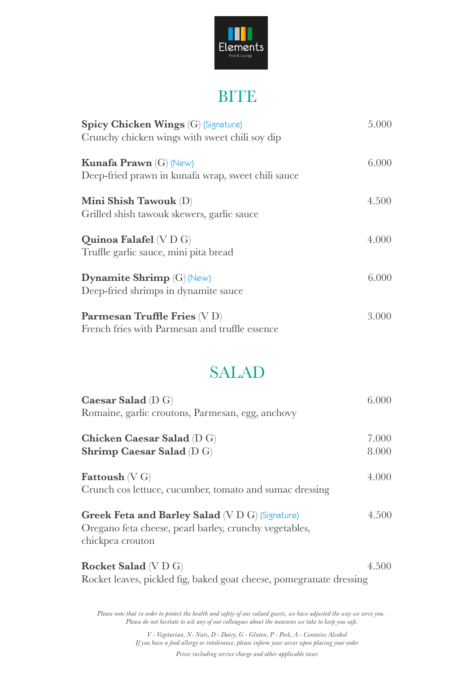

### **BITE**

| <b>Spicy Chicken Wings (G) (Signature)</b>         | 5.000 |
|----------------------------------------------------|-------|
| Crunchy chicken wings with sweet chili soy dip     |       |
| <b>Kunafa Prawn</b> (G) (New)                      | 6.000 |
| Deep-fried prawn in kunafa wrap, sweet chili sauce |       |
| Mini Shish Tawouk (D)                              | 4.500 |
| Grilled shish tawouk skewers, garlic sauce         |       |
| Quinoa Falafel (V D G)                             | 4.000 |
| Truffle garlic sauce, mini pita bread              |       |
| <b>Dynamite Shrimp</b> (G) (New)                   | 6.000 |
| Deep-fried shrimps in dynamite sauce               |       |
| Parmesan Truffle Fries (V D)                       | 3.000 |
| French fries with Parmesan and truffle essence     |       |

### SALAD

| Caesar Salad $(D G)$<br>Romaine, garlic croutons, Parmesan, egg, anchovy                                                             | 6.000          |
|--------------------------------------------------------------------------------------------------------------------------------------|----------------|
| Chicken Caesar Salad (D G)<br><b>Shrimp Caesar Salad (D G)</b>                                                                       | 7.000<br>8.000 |
| <b>Fattoush</b> $(V G)$<br>Crunch cos lettuce, cucumber, tomato and sumac dressing                                                   | 4.000          |
| <b>Greek Feta and Barley Salad</b> (V D G) (Signature)<br>Oregano feta cheese, pearl barley, crunchy vegetables,<br>chickpea crouton | 4.500          |
| <b>Rocket Salad</b> (V D G)<br>Rocket leaves, pickled fig, baked goat cheese, pomegranate dressing                                   | 4.500          |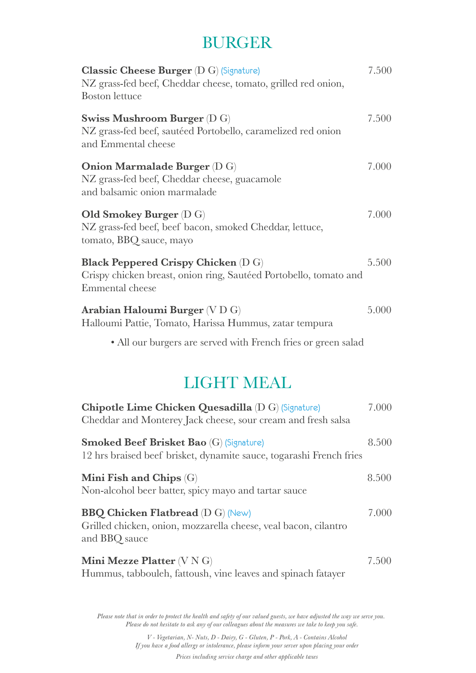# BURGER

| <b>Classic Cheese Burger</b> (D G) (Signature)<br>NZ grass-fed beef, Cheddar cheese, tomato, grilled red onion,<br><b>Boston</b> lettuce | 7.500 |
|------------------------------------------------------------------------------------------------------------------------------------------|-------|
| <b>Swiss Mushroom Burger (D G)</b><br>NZ grass-fed beef, sautéed Portobello, caramelized red onion<br>and Emmental cheese                | 7.500 |
| <b>Onion Marmalade Burger</b> (D G)<br>NZ grass-fed beef, Cheddar cheese, guacamole<br>and balsamic onion marmalade                      | 7.000 |
| <b>Old Smokey Burger</b> (D G)<br>NZ grass-fed beef, beef bacon, smoked Cheddar, lettuce,<br>tomato, BBQ sauce, mayo                     | 7.000 |
| <b>Black Peppered Crispy Chicken</b> (D G)<br>Crispy chicken breast, onion ring, Sautéed Portobello, tomato and<br>Emmental cheese       | 5.500 |
| Arabian Haloumi Burger (V D G)<br>Halloumi Pattie, Tomato, Harissa Hummus, zatar tempura                                                 | 5.000 |
| • All our burgers are served with French fries or green salad                                                                            |       |

## LIGHT MEAL

| Chipotle Lime Chicken Quesadilla (D G) (Signature)<br>Cheddar and Monterey Jack cheese, sour cream and fresh salsa           | 7.000 |
|------------------------------------------------------------------------------------------------------------------------------|-------|
| <b>Smoked Beef Brisket Bao</b> (G) (Signature)<br>12 hrs braised beef brisket, dynamite sauce, togarashi French fries        | 8.500 |
| Mini Fish and Chips $(G)$<br>Non-alcohol beer batter, spicy mayo and tartar sauce                                            | 8.500 |
| <b>BBQ Chicken Flatbread (D G) (New)</b><br>Grilled chicken, onion, mozzarella cheese, veal bacon, cilantro<br>and BBQ sauce | 7.000 |
| Mini Mezze Platter $(V N G)$<br>Hummus, tabbouleh, fattoush, vine leaves and spinach fatayer                                 | 7.500 |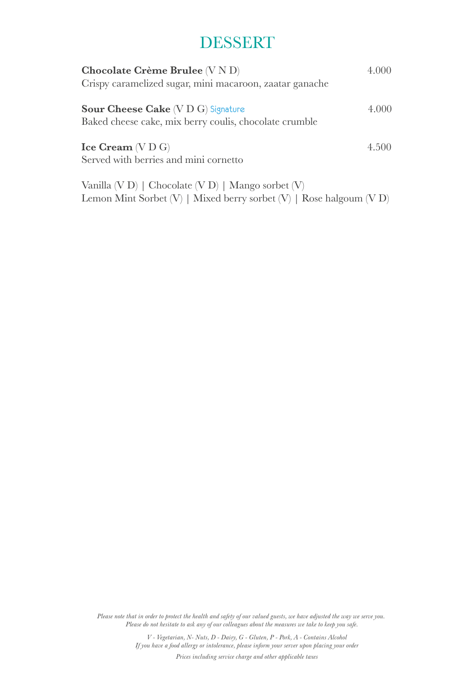## DESSERT

| Chocolate Crème Brulee (V N D)<br>Crispy caramelized sugar, mini macaroon, zaatar ganache                                       | 4.000 |
|---------------------------------------------------------------------------------------------------------------------------------|-------|
| <b>Sour Cheese Cake</b> (V D G) Signature<br>Baked cheese cake, mix berry coulis, chocolate crumble                             | 4.000 |
| $\text{Ice Cream} (V D G)$<br>Served with berries and mini cornetto                                                             | 4.500 |
| Vanilla (V D)   Chocolate (V D)   Mango sorbet (V)<br>Lemon Mint Sorbet $(V)$   Mixed berry sorbet $(V)$   Rose halgoum $(V D)$ |       |

*Please note that in order to protect the health and safety of our valued guests, we have adjusted the way we serve you. Please do not hesitate to ask any of our colleagues about the measures we take to keep you safe.*

> *Prices including service charge and other applicable taxes V - Vegetarian, N- Nuts, D - Dairy, G - Gluten, P - Pork, A - Contains Alcohol If you have a food allergy or intolerance, please inform your server upon placing your order*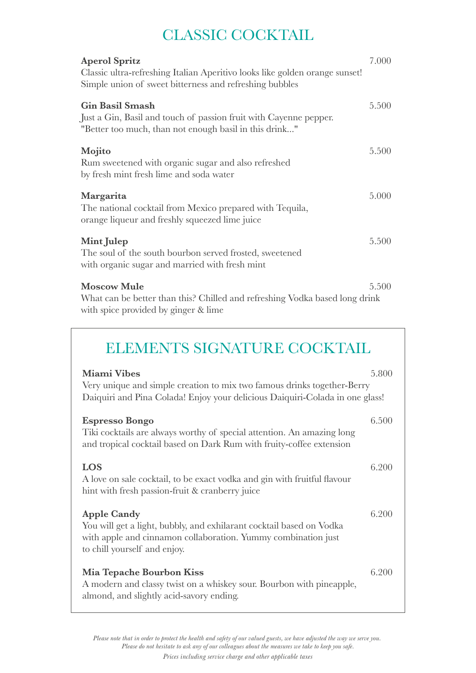### CLASSIC COCKTAIL

| <b>Aperol Spritz</b><br>Classic ultra-refreshing Italian Aperitivo looks like golden orange sunset!<br>Simple union of sweet bitterness and refreshing bubbles | 7.000 |
|----------------------------------------------------------------------------------------------------------------------------------------------------------------|-------|
| <b>Gin Basil Smash</b><br>Just a Gin, Basil and touch of passion fruit with Cayenne pepper.<br>"Better too much, than not enough basil in this drink"          | 5.500 |
| Mojito<br>Rum sweetened with organic sugar and also refreshed<br>by fresh mint fresh lime and soda water                                                       | 5.500 |
| Margarita<br>The national cocktail from Mexico prepared with Tequila,<br>orange liqueur and freshly squeezed lime juice                                        | 5.000 |
| Mint Julep<br>The soul of the south bourbon served frosted, sweetened<br>with organic sugar and married with fresh mint                                        | 5.500 |
| <b>Moscow Mule</b><br>What can be better than this? Chilled and refreshing Vodka based long drink<br>with spice provided by ginger & lime                      | 5.500 |

### ELEMENTS SIGNATURE COCKTAIL

| <b>Miami Vibes</b>                                                                                                                                                                          | 5.800 |
|---------------------------------------------------------------------------------------------------------------------------------------------------------------------------------------------|-------|
| Very unique and simple creation to mix two famous drinks together-Berry<br>Daiquiri and Pina Colada! Enjoy your delicious Daiquiri-Colada in one glass!                                     |       |
| <b>Espresso Bongo</b><br>Tiki cocktails are always worthy of special attention. An amazing long<br>and tropical cocktail based on Dark Rum with fruity-coffee extension                     | 6.500 |
| <b>LOS</b><br>A love on sale cocktail, to be exact vodka and gin with fruitful flavour<br>hint with fresh passion-fruit & cranberry juice                                                   | 6.200 |
| <b>Apple Candy</b><br>You will get a light, bubbly, and exhilarant cocktail based on Vodka<br>with apple and cinnamon collaboration. Yummy combination just<br>to chill yourself and enjoy. | 6.200 |
| <b>Mia Tepache Bourbon Kiss</b><br>A modern and classy twist on a whiskey sour. Bourbon with pineapple,<br>almond, and slightly acid-savory ending.                                         | 6.200 |

*Please note that in order to protect the health and safety of our valued guests, we have adjusted the way we serve you. Please do not hesitate to ask any of our colleagues about the measures we take to keep you safe.*

*Prices including service charge and other applicable taxes*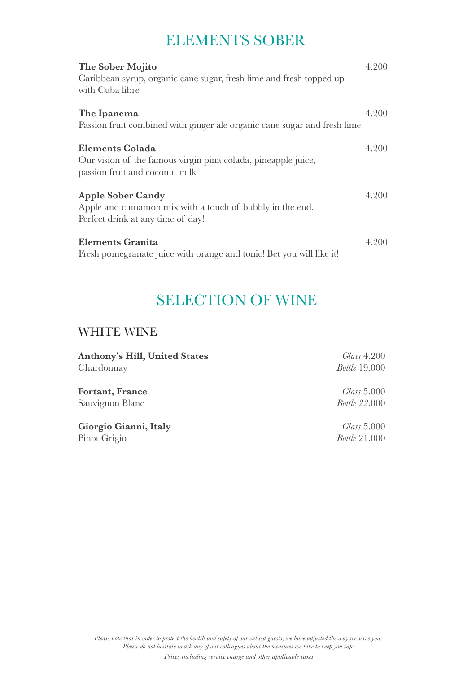### ELEMENTS SOBER

| The Sober Mojito<br>Caribbean syrup, organic cane sugar, fresh lime and fresh topped up<br>with Cuba libre                 | 4.200 |
|----------------------------------------------------------------------------------------------------------------------------|-------|
| The Ipanema<br>Passion fruit combined with ginger ale organic cane sugar and fresh lime                                    | 4.200 |
| Elements Colada<br>Our vision of the famous virgin pina colada, pineapple juice,<br>passion fruit and coconut milk         | 4.200 |
| <b>Apple Sober Candy</b><br>Apple and cinnamon mix with a touch of bubbly in the end.<br>Perfect drink at any time of day! | 4.200 |
| <b>Elements Granita</b><br>Fresh pomegranate juice with orange and tonic! Bet you will like it!                            | 4.200 |

## SELECTION OF WINE

### WHITE WINE

| <b>Anthony's Hill, United States</b> | Glass 4.200          |
|--------------------------------------|----------------------|
| Chardonnay                           | <i>Bottle</i> 19.000 |
| <b>Fortant, France</b>               | Glass 5.000          |
| Sauvignon Blanc                      | <i>Bottle</i> 22.000 |
| Giorgio Gianni, Italy                | Glass 5.000          |
| Pinot Grigio                         | <i>Bottle</i> 21.000 |
|                                      |                      |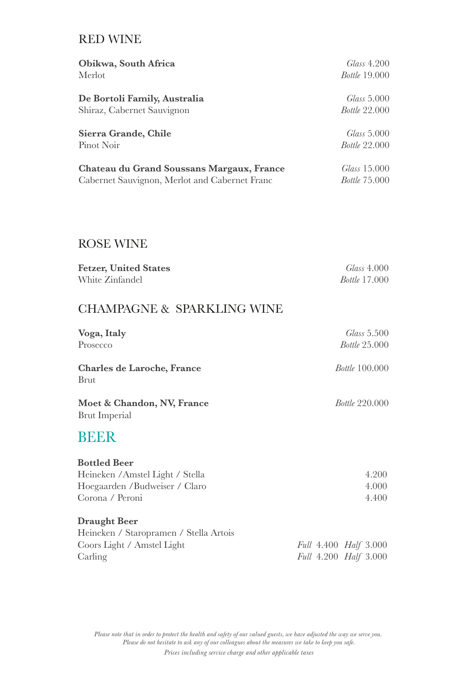#### RED WINE

| Obikwa, South Africa                          | Glass 4.200          |
|-----------------------------------------------|----------------------|
| Merlot                                        | <i>Bottle</i> 19.000 |
|                                               |                      |
| De Bortoli Family, Australia                  | Glass 5.000          |
| Shiraz, Cabernet Sauvignon                    | <i>Bottle</i> 22.000 |
| Sierra Grande, Chile                          | Glass 5.000          |
| Pinot Noir                                    | <i>Bottle</i> 22.000 |
| Chateau du Grand Soussans Margaux, France     | Glass 15.000         |
| Cabernet Sauvignon, Merlot and Cabernet Franc | <i>Bottle</i> 75.000 |

### ROSE WINE

| <b>Fetzer, United States</b> | <i>Glass</i> 4.000   |
|------------------------------|----------------------|
| White Zinfandel              | <i>Bottle</i> 17.000 |

### CHAMPAGNE & SPARKLING WINE

| Voga, Italy                                        | Glass 5.500           |
|----------------------------------------------------|-----------------------|
| Prosecco                                           | <i>Bottle</i> 25.000  |
| <b>Charles de Laroche, France</b><br><b>Brut</b>   | <i>Bottle</i> 100.000 |
| Moet & Chandon, NV, France<br><b>Brut Imperial</b> | <i>Bottle</i> 220.000 |
| BEER                                               |                       |
| <b>Bottled Beer</b>                                |                       |
| Heineken / Amstel Light / Stella                   | 4.200                 |
| Hoegaarden / Budweiser / Claro                     | 4.000                 |
| Corona / Peroni                                    | 4.400                 |

#### **Draught Beer**

| Heineken / Staropramen / Stella Artois |                                     |
|----------------------------------------|-------------------------------------|
| Coors Light / Amstel Light             | Full 4.400 <i>Half</i> 3.000        |
| Carling                                | <i>Full</i> 4.200 <i>Half</i> 3.000 |